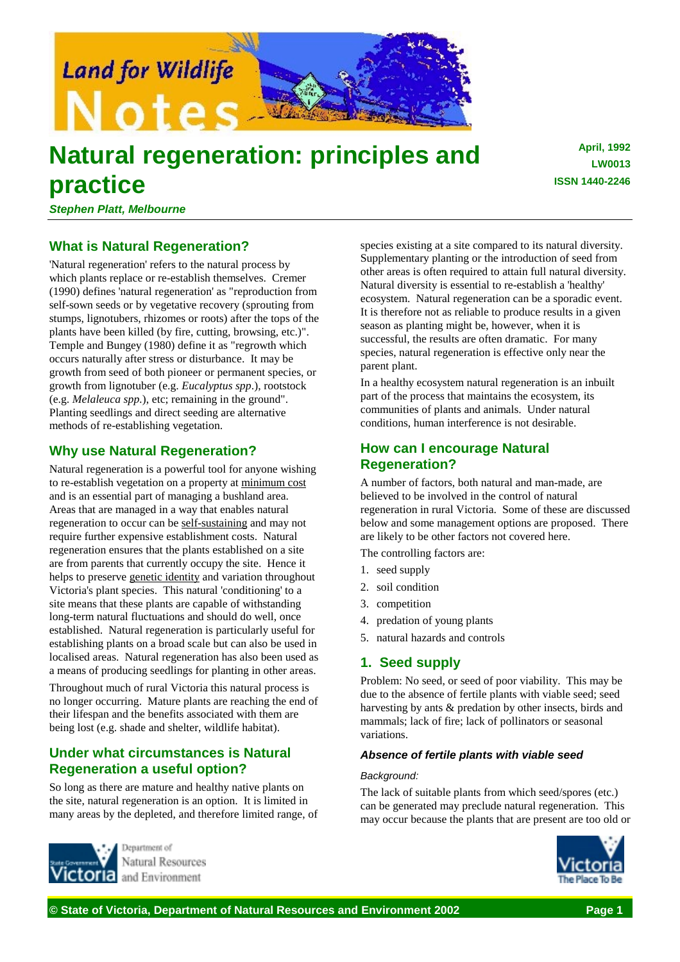

# **Natural regeneration: principles and practice**

**April, 1992 LW0013 ISSN 1440-2246**

*Stephen Platt, Melbourne*

# **What is Natural Regeneration?**

'Natural regeneration' refers to the natural process by which plants replace or re-establish themselves. Cremer (1990) defines 'natural regeneration' as "reproduction from self-sown seeds or by vegetative recovery (sprouting from stumps, lignotubers, rhizomes or roots) after the tops of the plants have been killed (by fire, cutting, browsing, etc.)". Temple and Bungey (1980) define it as "regrowth which occurs naturally after stress or disturbance. It may be growth from seed of both pioneer or permanent species, or growth from lignotuber (e.g. *Eucalyptus spp*.), rootstock (e.g. *Melaleuca spp.*), etc; remaining in the ground". Planting seedlings and direct seeding are alternative methods of re-establishing vegetation.

# **Why use Natural Regeneration?**

Natural regeneration is a powerful tool for anyone wishing to re-establish vegetation on a property at minimum cost and is an essential part of managing a bushland area. Areas that are managed in a way that enables natural regeneration to occur can be self-sustaining and may not require further expensive establishment costs. Natural regeneration ensures that the plants established on a site are from parents that currently occupy the site. Hence it helps to preserve genetic identity and variation throughout Victoria's plant species. This natural 'conditioning' to a site means that these plants are capable of withstanding long-term natural fluctuations and should do well, once established. Natural regeneration is particularly useful for establishing plants on a broad scale but can also be used in localised areas. Natural regeneration has also been used as a means of producing seedlings for planting in other areas.

Throughout much of rural Victoria this natural process is no longer occurring. Mature plants are reaching the end of their lifespan and the benefits associated with them are being lost (e.g. shade and shelter, wildlife habitat).

# **Under what circumstances is Natural Regeneration a useful option?**

So long as there are mature and healthy native plants on the site, natural regeneration is an option. It is limited in many areas by the depleted, and therefore limited range, of



Natural Resources and Environment

species existing at a site compared to its natural diversity. Supplementary planting or the introduction of seed from other areas is often required to attain full natural diversity. Natural diversity is essential to re-establish a 'healthy' ecosystem. Natural regeneration can be a sporadic event. It is therefore not as reliable to produce results in a given season as planting might be, however, when it is successful, the results are often dramatic. For many species, natural regeneration is effective only near the parent plant.

In a healthy ecosystem natural regeneration is an inbuilt part of the process that maintains the ecosystem, its communities of plants and animals. Under natural conditions, human interference is not desirable.

# **How can I encourage Natural Regeneration?**

A number of factors, both natural and man-made, are believed to be involved in the control of natural regeneration in rural Victoria. Some of these are discussed below and some management options are proposed. There are likely to be other factors not covered here.

The controlling factors are:

- 1. seed supply
- 2. soil condition
- 3. competition
- 4. predation of young plants
- 5. natural hazards and controls

## **1. Seed supply**

Problem: No seed, or seed of poor viability. This may be due to the absence of fertile plants with viable seed; seed harvesting by ants & predation by other insects, birds and mammals; lack of fire; lack of pollinators or seasonal variations.

## *Absence of fertile plants with viable seed*

#### *Background:*

The lack of suitable plants from which seed/spores (etc.) can be generated may preclude natural regeneration. This may occur because the plants that are present are too old or

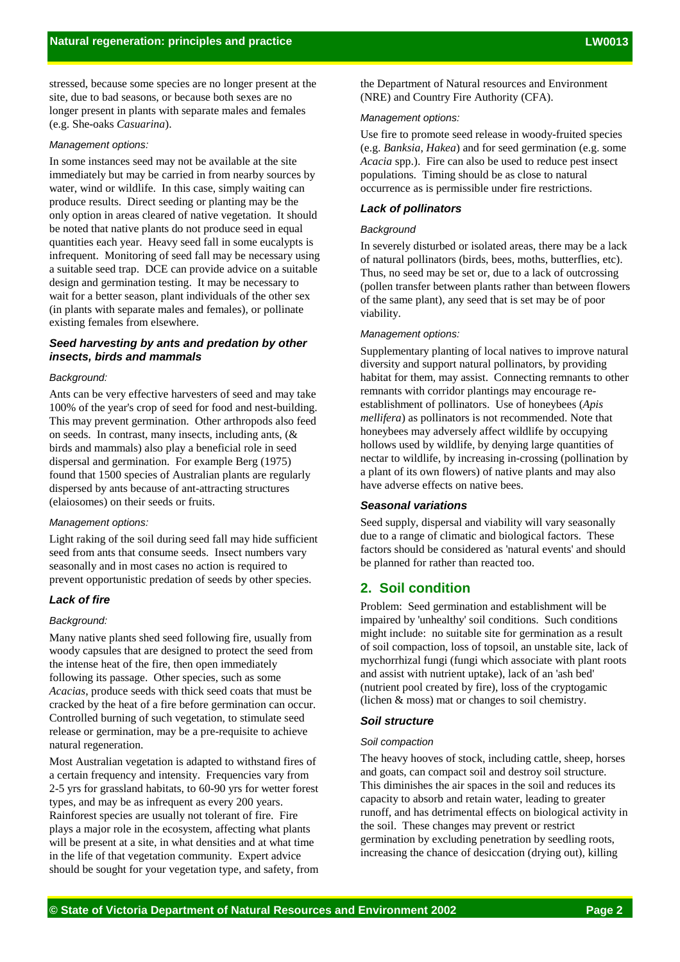stressed, because some species are no longer present at the site, due to bad seasons, or because both sexes are no longer present in plants with separate males and females (e.g. She-oaks *Casuarina*).

#### *Management options:*

In some instances seed may not be available at the site immediately but may be carried in from nearby sources by water, wind or wildlife. In this case, simply waiting can produce results. Direct seeding or planting may be the only option in areas cleared of native vegetation. It should be noted that native plants do not produce seed in equal quantities each year. Heavy seed fall in some eucalypts is infrequent. Monitoring of seed fall may be necessary using a suitable seed trap. DCE can provide advice on a suitable design and germination testing. It may be necessary to wait for a better season, plant individuals of the other sex (in plants with separate males and females), or pollinate existing females from elsewhere.

## *Seed harvesting by ants and predation by other insects, birds and mammals*

#### *Background:*

Ants can be very effective harvesters of seed and may take 100% of the year's crop of seed for food and nest-building. This may prevent germination. Other arthropods also feed on seeds. In contrast, many insects, including ants,  $(\&$ birds and mammals) also play a beneficial role in seed dispersal and germination. For example Berg (1975) found that 1500 species of Australian plants are regularly dispersed by ants because of ant-attracting structures (elaiosomes) on their seeds or fruits.

#### *Management options:*

Light raking of the soil during seed fall may hide sufficient seed from ants that consume seeds. Insect numbers vary seasonally and in most cases no action is required to prevent opportunistic predation of seeds by other species.

#### *Lack of fire*

#### *Background:*

Many native plants shed seed following fire, usually from woody capsules that are designed to protect the seed from the intense heat of the fire, then open immediately following its passage. Other species, such as some *Acacias*, produce seeds with thick seed coats that must be cracked by the heat of a fire before germination can occur. Controlled burning of such vegetation, to stimulate seed release or germination, may be a pre-requisite to achieve natural regeneration.

Most Australian vegetation is adapted to withstand fires of a certain frequency and intensity. Frequencies vary from 2-5 yrs for grassland habitats, to 60-90 yrs for wetter forest types, and may be as infrequent as every 200 years. Rainforest species are usually not tolerant of fire. Fire plays a major role in the ecosystem, affecting what plants will be present at a site, in what densities and at what time in the life of that vegetation community. Expert advice should be sought for your vegetation type, and safety, from

the Department of Natural resources and Environment (NRE) and Country Fire Authority (CFA).

#### *Management options:*

Use fire to promote seed release in woody-fruited species (e.g. *Banksia*, *Hakea*) and for seed germination (e.g. some *Acacia* spp.). Fire can also be used to reduce pest insect populations. Timing should be as close to natural occurrence as is permissible under fire restrictions.

## *Lack of pollinators*

#### *Background*

In severely disturbed or isolated areas, there may be a lack of natural pollinators (birds, bees, moths, butterflies, etc). Thus, no seed may be set or, due to a lack of outcrossing (pollen transfer between plants rather than between flowers of the same plant), any seed that is set may be of poor viability.

#### *Management options:*

Supplementary planting of local natives to improve natural diversity and support natural pollinators, by providing habitat for them, may assist. Connecting remnants to other remnants with corridor plantings may encourage reestablishment of pollinators. Use of honeybees (*Apis mellifera*) as pollinators is not recommended. Note that honeybees may adversely affect wildlife by occupying hollows used by wildlife, by denying large quantities of nectar to wildlife, by increasing in-crossing (pollination by a plant of its own flowers) of native plants and may also have adverse effects on native bees.

## *Seasonal variations*

Seed supply, dispersal and viability will vary seasonally due to a range of climatic and biological factors. These factors should be considered as 'natural events' and should be planned for rather than reacted too.

## **2. Soil condition**

Problem: Seed germination and establishment will be impaired by 'unhealthy' soil conditions. Such conditions might include: no suitable site for germination as a result of soil compaction, loss of topsoil, an unstable site, lack of mychorrhizal fungi (fungi which associate with plant roots and assist with nutrient uptake), lack of an 'ash bed' (nutrient pool created by fire), loss of the cryptogamic (lichen & moss) mat or changes to soil chemistry.

#### *Soil structure*

#### *Soil compaction*

The heavy hooves of stock, including cattle, sheep, horses and goats, can compact soil and destroy soil structure. This diminishes the air spaces in the soil and reduces its capacity to absorb and retain water, leading to greater runoff, and has detrimental effects on biological activity in the soil. These changes may prevent or restrict germination by excluding penetration by seedling roots, increasing the chance of desiccation (drying out), killing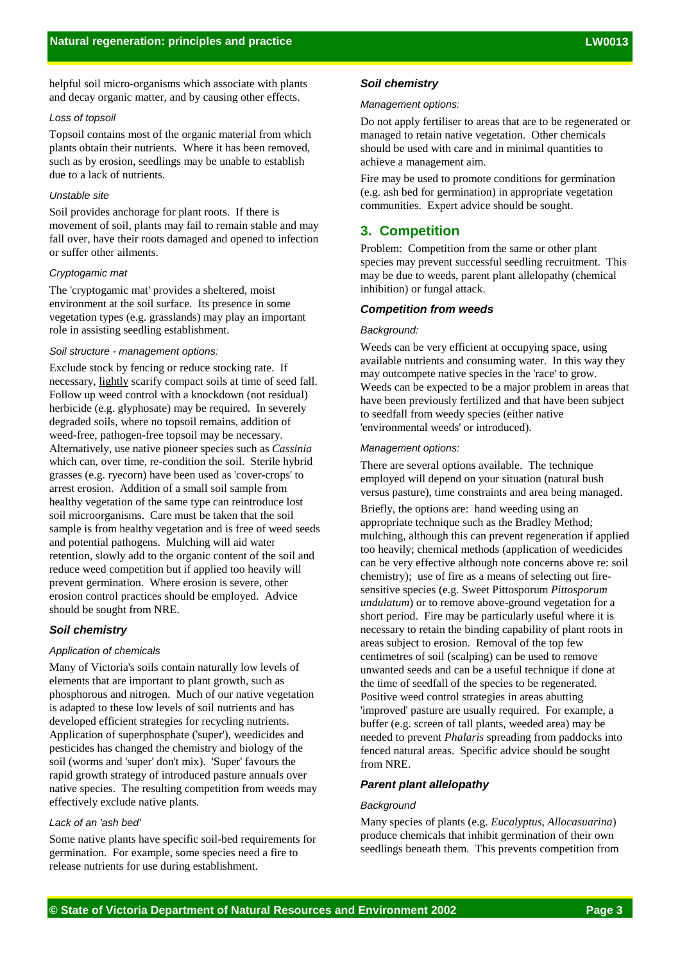helpful soil micro-organisms which associate with plants and decay organic matter, and by causing other effects.

#### *Loss of topsoil*

Topsoil contains most of the organic material from which plants obtain their nutrients. Where it has been removed, such as by erosion, seedlings may be unable to establish due to a lack of nutrients.

## *Unstable site*

Soil provides anchorage for plant roots. If there is movement of soil, plants may fail to remain stable and may fall over, have their roots damaged and opened to infection or suffer other ailments.

#### *Cryptogamic mat*

The 'cryptogamic mat' provides a sheltered, moist environment at the soil surface. Its presence in some vegetation types (e.g. grasslands) may play an important role in assisting seedling establishment.

#### *Soil structure - management options:*

Exclude stock by fencing or reduce stocking rate. If necessary, lightly scarify compact soils at time of seed fall. Follow up weed control with a knockdown (not residual) herbicide (e.g. glyphosate) may be required. In severely degraded soils, where no topsoil remains, addition of weed-free, pathogen-free topsoil may be necessary. Alternatively, use native pioneer species such as *Cassinia* which can, over time, re-condition the soil. Sterile hybrid grasses (e.g. ryecorn) have been used as 'cover-crops' to arrest erosion. Addition of a small soil sample from healthy vegetation of the same type can reintroduce lost soil microorganisms. Care must be taken that the soil sample is from healthy vegetation and is free of weed seeds and potential pathogens. Mulching will aid water retention, slowly add to the organic content of the soil and reduce weed competition but if applied too heavily will prevent germination. Where erosion is severe, other erosion control practices should be employed. Advice should be sought from NRE.

### *Soil chemistry*

#### *Application of chemicals*

Many of Victoria's soils contain naturally low levels of elements that are important to plant growth, such as phosphorous and nitrogen. Much of our native vegetation is adapted to these low levels of soil nutrients and has developed efficient strategies for recycling nutrients. Application of superphosphate ('super'), weedicides and pesticides has changed the chemistry and biology of the soil (worms and 'super' don't mix). 'Super' favours the rapid growth strategy of introduced pasture annuals over native species. The resulting competition from weeds may effectively exclude native plants.

#### *Lack of an 'ash bed'*

Some native plants have specific soil-bed requirements for germination. For example, some species need a fire to release nutrients for use during establishment.

#### *Soil chemistry*

#### *Management options:*

Do not apply fertiliser to areas that are to be regenerated or managed to retain native vegetation. Other chemicals should be used with care and in minimal quantities to achieve a management aim.

Fire may be used to promote conditions for germination (e.g. ash bed for germination) in appropriate vegetation communities. Expert advice should be sought.

## **3. Competition**

Problem: Competition from the same or other plant species may prevent successful seedling recruitment. This may be due to weeds, parent plant allelopathy (chemical inhibition) or fungal attack.

#### *Competition from weeds*

#### *Background:*

Weeds can be very efficient at occupying space, using available nutrients and consuming water. In this way they may outcompete native species in the 'race' to grow. Weeds can be expected to be a major problem in areas that have been previously fertilized and that have been subject to seedfall from weedy species (either native 'environmental weeds' or introduced).

#### *Management options:*

There are several options available. The technique employed will depend on your situation (natural bush versus pasture), time constraints and area being managed.

Briefly, the options are: hand weeding using an appropriate technique such as the Bradley Method; mulching, although this can prevent regeneration if applied too heavily; chemical methods (application of weedicides can be very effective although note concerns above re: soil chemistry); use of fire as a means of selecting out firesensitive species (e.g. Sweet Pittosporum *Pittosporum undulatum*) or to remove above-ground vegetation for a short period. Fire may be particularly useful where it is necessary to retain the binding capability of plant roots in areas subject to erosion. Removal of the top few centimetres of soil (scalping) can be used to remove unwanted seeds and can be a useful technique if done at the time of seedfall of the species to be regenerated. Positive weed control strategies in areas abutting 'improved' pasture are usually required. For example, a buffer (e.g. screen of tall plants, weeded area) may be needed to prevent *Phalaris* spreading from paddocks into fenced natural areas. Specific advice should be sought from NRE.

#### *Parent plant allelopathy*

#### *Background*

Many species of plants (e.g. *Eucalyptus*, *Allocasuarina*) produce chemicals that inhibit germination of their own seedlings beneath them. This prevents competition from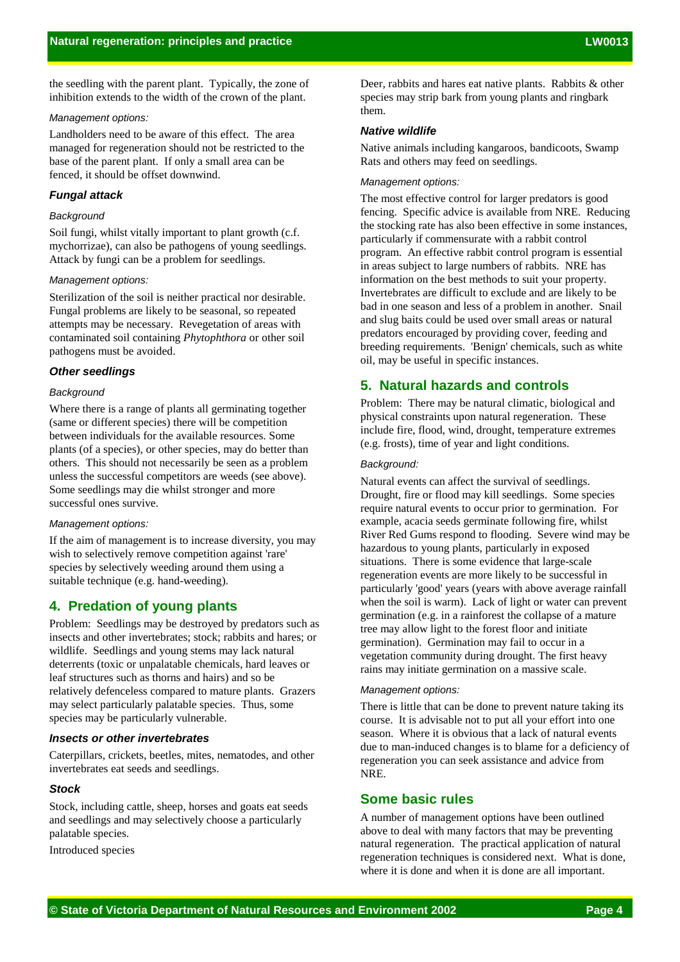the seedling with the parent plant. Typically, the zone of inhibition extends to the width of the crown of the plant.

#### *Management options:*

Landholders need to be aware of this effect. The area managed for regeneration should not be restricted to the base of the parent plant. If only a small area can be fenced, it should be offset downwind.

## *Fungal attack*

#### *Background*

Soil fungi, whilst vitally important to plant growth (c.f. mychorrizae), can also be pathogens of young seedlings. Attack by fungi can be a problem for seedlings.

#### *Management options:*

Sterilization of the soil is neither practical nor desirable. Fungal problems are likely to be seasonal, so repeated attempts may be necessary. Revegetation of areas with contaminated soil containing *Phytophthora* or other soil pathogens must be avoided.

#### *Other seedlings*

#### *Background*

Where there is a range of plants all germinating together (same or different species) there will be competition between individuals for the available resources. Some plants (of a species), or other species, may do better than others. This should not necessarily be seen as a problem unless the successful competitors are weeds (see above). Some seedlings may die whilst stronger and more successful ones survive.

#### *Management options:*

If the aim of management is to increase diversity, you may wish to selectively remove competition against 'rare' species by selectively weeding around them using a suitable technique (e.g. hand-weeding).

## **4. Predation of young plants**

Problem: Seedlings may be destroyed by predators such as insects and other invertebrates; stock; rabbits and hares; or wildlife. Seedlings and young stems may lack natural deterrents (toxic or unpalatable chemicals, hard leaves or leaf structures such as thorns and hairs) and so be relatively defenceless compared to mature plants. Grazers may select particularly palatable species. Thus, some species may be particularly vulnerable.

#### *Insects or other invertebrates*

Caterpillars, crickets, beetles, mites, nematodes, and other invertebrates eat seeds and seedlings.

#### *Stock*

Stock, including cattle, sheep, horses and goats eat seeds and seedlings and may selectively choose a particularly palatable species.

Introduced species

Deer, rabbits and hares eat native plants. Rabbits & other species may strip bark from young plants and ringbark them.

#### *Native wildlife*

Native animals including kangaroos, bandicoots, Swamp Rats and others may feed on seedlings.

#### *Management options:*

The most effective control for larger predators is good fencing. Specific advice is available from NRE. Reducing the stocking rate has also been effective in some instances, particularly if commensurate with a rabbit control program. An effective rabbit control program is essential in areas subject to large numbers of rabbits. NRE has information on the best methods to suit your property. Invertebrates are difficult to exclude and are likely to be bad in one season and less of a problem in another. Snail and slug baits could be used over small areas or natural predators encouraged by providing cover, feeding and breeding requirements. 'Benign' chemicals, such as white oil, may be useful in specific instances.

## **5. Natural hazards and controls**

Problem: There may be natural climatic, biological and physical constraints upon natural regeneration. These include fire, flood, wind, drought, temperature extremes (e.g. frosts), time of year and light conditions.

#### *Background:*

Natural events can affect the survival of seedlings. Drought, fire or flood may kill seedlings. Some species require natural events to occur prior to germination. For example, acacia seeds germinate following fire, whilst River Red Gums respond to flooding. Severe wind may be hazardous to young plants, particularly in exposed situations. There is some evidence that large-scale regeneration events are more likely to be successful in particularly 'good' years (years with above average rainfall when the soil is warm). Lack of light or water can prevent germination (e.g. in a rainforest the collapse of a mature tree may allow light to the forest floor and initiate germination). Germination may fail to occur in a vegetation community during drought. The first heavy rains may initiate germination on a massive scale.

#### *Management options:*

There is little that can be done to prevent nature taking its course. It is advisable not to put all your effort into one season. Where it is obvious that a lack of natural events due to man-induced changes is to blame for a deficiency of regeneration you can seek assistance and advice from NRE.

## **Some basic rules**

A number of management options have been outlined above to deal with many factors that may be preventing natural regeneration. The practical application of natural regeneration techniques is considered next. What is done, where it is done and when it is done are all important.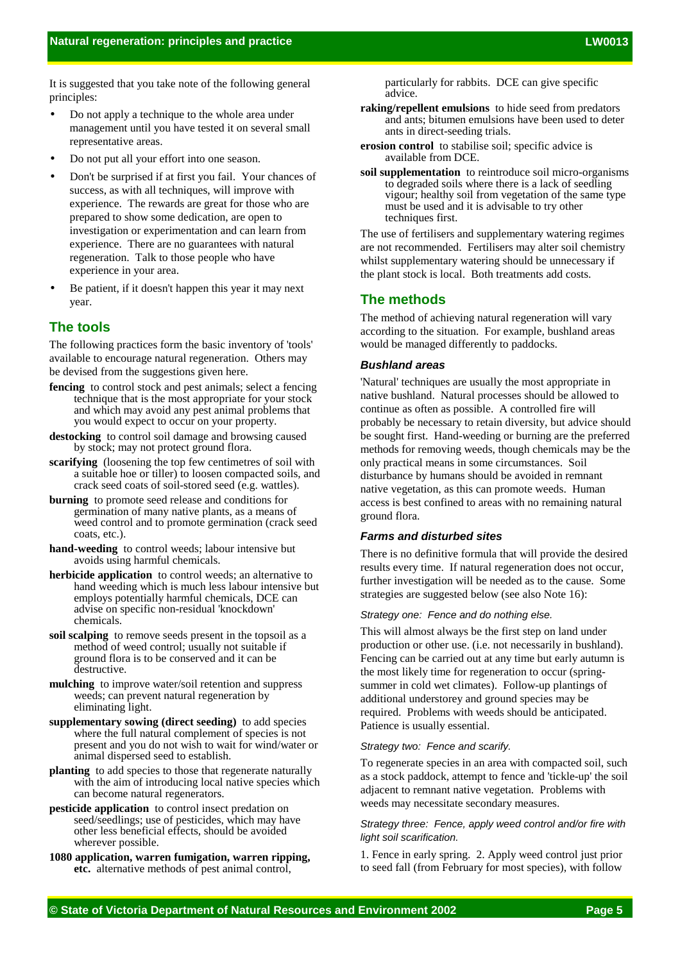It is suggested that you take note of the following general principles:

- Do not apply a technique to the whole area under management until you have tested it on several small representative areas.
- Do not put all your effort into one season.
- Don't be surprised if at first you fail. Your chances of success, as with all techniques, will improve with experience. The rewards are great for those who are prepared to show some dedication, are open to investigation or experimentation and can learn from experience. There are no guarantees with natural regeneration. Talk to those people who have experience in your area.
- Be patient, if it doesn't happen this year it may next year.

## **The tools**

The following practices form the basic inventory of 'tools' available to encourage natural regeneration. Others may be devised from the suggestions given here.

- **fencing** to control stock and pest animals; select a fencing technique that is the most appropriate for your stock and which may avoid any pest animal problems that you would expect to occur on your property.
- **destocking** to control soil damage and browsing caused by stock; may not protect ground flora.
- **scarifying** (loosening the top few centimetres of soil with a suitable hoe or tiller) to loosen compacted soils, and crack seed coats of soil-stored seed (e.g. wattles).
- **burning** to promote seed release and conditions for germination of many native plants, as a means of weed control and to promote germination (crack seed coats, etc.).
- **hand-weeding** to control weeds; labour intensive but avoids using harmful chemicals.
- **herbicide application** to control weeds; an alternative to hand weeding which is much less labour intensive but employs potentially harmful chemicals, DCE can advise on specific non-residual 'knockdown' chemicals.
- **soil scalping** to remove seeds present in the topsoil as a method of weed control; usually not suitable if ground flora is to be conserved and it can be destructive.
- **mulching** to improve water/soil retention and suppress weeds; can prevent natural regeneration by eliminating light.
- **supplementary sowing (direct seeding)** to add species where the full natural complement of species is not present and you do not wish to wait for wind/water or animal dispersed seed to establish.
- **planting** to add species to those that regenerate naturally with the aim of introducing local native species which can become natural regenerators.
- **pesticide application** to control insect predation on seed/seedlings; use of pesticides, which may have other less beneficial effects, should be avoided wherever possible.
- **1080 application, warren fumigation, warren ripping, etc.** alternative methods of pest animal control,

particularly for rabbits. DCE can give specific advice.

- **raking/repellent emulsions** to hide seed from predators and ants; bitumen emulsions have been used to deter ants in direct-seeding trials.
- **erosion control** to stabilise soil; specific advice is available from DCE.
- **soil supplementation** to reintroduce soil micro-organisms to degraded soils where there is a lack of seedling vigour; healthy soil from vegetation of the same type must be used and it is advisable to try other techniques first.

The use of fertilisers and supplementary watering regimes are not recommended. Fertilisers may alter soil chemistry whilst supplementary watering should be unnecessary if the plant stock is local. Both treatments add costs.

## **The methods**

The method of achieving natural regeneration will vary according to the situation. For example, bushland areas would be managed differently to paddocks.

#### *Bushland areas*

'Natural' techniques are usually the most appropriate in native bushland. Natural processes should be allowed to continue as often as possible. A controlled fire will probably be necessary to retain diversity, but advice should be sought first. Hand-weeding or burning are the preferred methods for removing weeds, though chemicals may be the only practical means in some circumstances. Soil disturbance by humans should be avoided in remnant native vegetation, as this can promote weeds. Human access is best confined to areas with no remaining natural ground flora.

### *Farms and disturbed sites*

There is no definitive formula that will provide the desired results every time. If natural regeneration does not occur, further investigation will be needed as to the cause. Some strategies are suggested below (see also Note 16):

#### *Strategy one: Fence and do nothing else.*

This will almost always be the first step on land under production or other use. (i.e. not necessarily in bushland). Fencing can be carried out at any time but early autumn is the most likely time for regeneration to occur (springsummer in cold wet climates). Follow-up plantings of additional understorey and ground species may be required. Problems with weeds should be anticipated. Patience is usually essential.

#### *Strategy two: Fence and scarify.*

To regenerate species in an area with compacted soil, such as a stock paddock, attempt to fence and 'tickle-up' the soil adjacent to remnant native vegetation. Problems with weeds may necessitate secondary measures.

#### *Strategy three: Fence, apply weed control and/or fire with light soil scarification.*

1. Fence in early spring. 2. Apply weed control just prior to seed fall (from February for most species), with follow